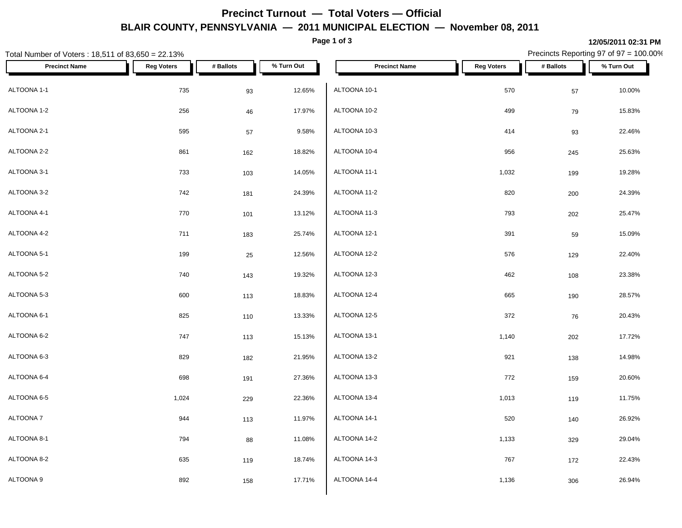## **Precinct Turnout — Total Voters — Official BLAIR COUNTY, PENNSYLVANIA — 2011 MUNICIPAL ELECTION — November 08, 2011**

**Page 1 of 3**

| Total Number of Voters: 18,511 of 83,650 = 22.13% |                   |           |            |                      | Precincts Reporting 97 of 97 = 100.00% |           |            |
|---------------------------------------------------|-------------------|-----------|------------|----------------------|----------------------------------------|-----------|------------|
| <b>Precinct Name</b>                              | <b>Reg Voters</b> | # Ballots | % Turn Out | <b>Precinct Name</b> | <b>Reg Voters</b>                      | # Ballots | % Turn Out |
| ALTOONA 1-1                                       | 735               | 93        | 12.65%     | ALTOONA 10-1         | 570                                    | 57        | 10.00%     |
| ALTOONA 1-2                                       | 256               | 46        | 17.97%     | ALTOONA 10-2         | 499                                    | 79        | 15.83%     |
| ALTOONA 2-1                                       | 595               | $57\,$    | 9.58%      | ALTOONA 10-3         | 414                                    | 93        | 22.46%     |
| ALTOONA 2-2                                       | 861               | 162       | 18.82%     | ALTOONA 10-4         | 956                                    | 245       | 25.63%     |
| ALTOONA 3-1                                       | 733               | 103       | 14.05%     | ALTOONA 11-1         | 1,032                                  | 199       | 19.28%     |
| ALTOONA 3-2                                       | 742               | 181       | 24.39%     | ALTOONA 11-2         | 820                                    | 200       | 24.39%     |
| ALTOONA 4-1                                       | 770               | 101       | 13.12%     | ALTOONA 11-3         | 793                                    | 202       | 25.47%     |
| ALTOONA 4-2                                       | 711               | 183       | 25.74%     | ALTOONA 12-1         | 391                                    | 59        | 15.09%     |
| ALTOONA 5-1                                       | 199               | 25        | 12.56%     | ALTOONA 12-2         | 576                                    | 129       | 22.40%     |
| ALTOONA 5-2                                       | 740               | 143       | 19.32%     | ALTOONA 12-3         | 462                                    | 108       | 23.38%     |
| ALTOONA 5-3                                       | 600               | 113       | 18.83%     | ALTOONA 12-4         | 665                                    | 190       | 28.57%     |
| ALTOONA 6-1                                       | 825               | 110       | 13.33%     | ALTOONA 12-5         | 372                                    | 76        | 20.43%     |
| ALTOONA 6-2                                       | 747               | 113       | 15.13%     | ALTOONA 13-1         | 1,140                                  | 202       | 17.72%     |
| ALTOONA 6-3                                       | 829               | 182       | 21.95%     | ALTOONA 13-2         | 921                                    | 138       | 14.98%     |
| ALTOONA 6-4                                       | 698               | 191       | 27.36%     | ALTOONA 13-3         | 772                                    | 159       | 20.60%     |
| ALTOONA 6-5                                       | 1,024             | 229       | 22.36%     | ALTOONA 13-4         | 1,013                                  | 119       | 11.75%     |
| ALTOONA 7                                         | 944               | 113       | 11.97%     | ALTOONA 14-1         | 520                                    | 140       | 26.92%     |
| ALTOONA 8-1                                       | 794               | 88        | 11.08%     | ALTOONA 14-2         | 1,133                                  | 329       | 29.04%     |
| ALTOONA 8-2                                       | 635               | 119       | 18.74%     | ALTOONA 14-3         | 767                                    | 172       | 22.43%     |
| ALTOONA 9                                         | 892               | 158       | 17.71%     | ALTOONA 14-4         | 1,136                                  | 306       | 26.94%     |

**12/05/2011 02:31 PM**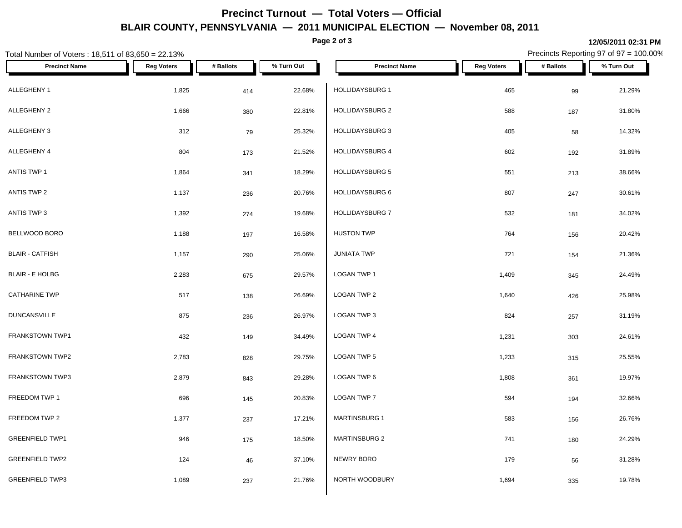## **Precinct Turnout — Total Voters — Official BLAIR COUNTY, PENNSYLVANIA — 2011 MUNICIPAL ELECTION — November 08, 2011**

**Page 2 of 3**

| Total Number of Voters: 18,511 of 83,650 = 22.13% |                   |           |            |                        | Precincts Reporting 97 of 97 = 100.00% |           |            |
|---------------------------------------------------|-------------------|-----------|------------|------------------------|----------------------------------------|-----------|------------|
| <b>Precinct Name</b>                              | <b>Reg Voters</b> | # Ballots | % Turn Out | <b>Precinct Name</b>   | <b>Reg Voters</b>                      | # Ballots | % Turn Out |
| ALLEGHENY 1                                       | 1,825             | 414       | 22.68%     | HOLLIDAYSBURG 1        | 465                                    | 99        | 21.29%     |
| ALLEGHENY 2                                       | 1,666             | 380       | 22.81%     | <b>HOLLIDAYSBURG 2</b> | 588                                    | 187       | 31.80%     |
| ALLEGHENY 3                                       | 312               | 79        | 25.32%     | <b>HOLLIDAYSBURG 3</b> | 405                                    | 58        | 14.32%     |
| ALLEGHENY 4                                       | 804               | 173       | 21.52%     | HOLLIDAYSBURG 4        | 602                                    | 192       | 31.89%     |
| ANTIS TWP 1                                       | 1,864             | 341       | 18.29%     | <b>HOLLIDAYSBURG 5</b> | 551                                    | 213       | 38.66%     |
| ANTIS TWP 2                                       | 1,137             | 236       | 20.76%     | HOLLIDAYSBURG 6        | 807                                    | 247       | 30.61%     |
| ANTIS TWP 3                                       | 1,392             | 274       | 19.68%     | HOLLIDAYSBURG 7        | 532                                    | 181       | 34.02%     |
| BELLWOOD BORO                                     | 1,188             | 197       | 16.58%     | <b>HUSTON TWP</b>      | 764                                    | 156       | 20.42%     |
| <b>BLAIR - CATFISH</b>                            | 1,157             | 290       | 25.06%     | <b>JUNIATA TWP</b>     | 721                                    | 154       | 21.36%     |
| <b>BLAIR - E HOLBG</b>                            | 2,283             | 675       | 29.57%     | LOGAN TWP 1            | 1,409                                  | 345       | 24.49%     |
| <b>CATHARINE TWP</b>                              | 517               | 138       | 26.69%     | LOGAN TWP 2            | 1,640                                  | 426       | 25.98%     |
| <b>DUNCANSVILLE</b>                               | 875               | 236       | 26.97%     | LOGAN TWP 3            | 824                                    | 257       | 31.19%     |
| FRANKSTOWN TWP1                                   | 432               | 149       | 34.49%     | LOGAN TWP 4            | 1,231                                  | 303       | 24.61%     |
| FRANKSTOWN TWP2                                   | 2,783             | 828       | 29.75%     | LOGAN TWP 5            | 1,233                                  | 315       | 25.55%     |
| FRANKSTOWN TWP3                                   | 2,879             | 843       | 29.28%     | LOGAN TWP 6            | 1,808                                  | 361       | 19.97%     |
| FREEDOM TWP 1                                     | 696               | 145       | 20.83%     | LOGAN TWP 7            | 594                                    | 194       | 32.66%     |
| FREEDOM TWP 2                                     | 1,377             | 237       | 17.21%     | <b>MARTINSBURG 1</b>   | 583                                    | 156       | 26.76%     |
| <b>GREENFIELD TWP1</b>                            | 946               | 175       | 18.50%     | MARTINSBURG 2          | 741                                    | 180       | 24.29%     |
| <b>GREENFIELD TWP2</b>                            | 124               | 46        | 37.10%     | NEWRY BORO             | 179                                    | 56        | 31.28%     |
| <b>GREENFIELD TWP3</b>                            | 1,089             | 237       | 21.76%     | NORTH WOODBURY         | 1,694                                  | 335       | 19.78%     |

**12/05/2011 02:31 PM**